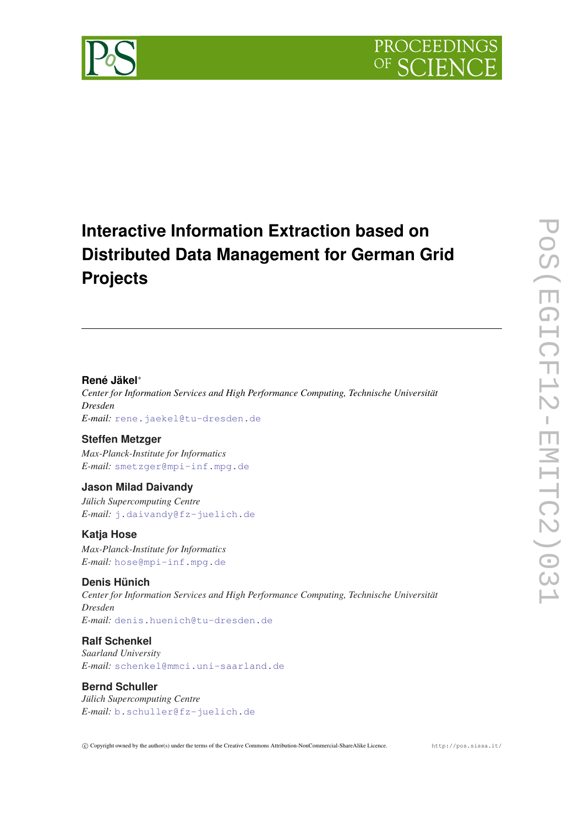



# **Interactive Information Extraction based on Distributed Data Management for German Grid Projects**

#### **René Jäkel**<sup>∗</sup>

*Center for Information Services and High Performance Computing, Technische Universität Dresden E-mail:* [rene.jaekel@tu-dresden.de](mailto:rene.jaekel@tu-dresden.de)

## **Steffen Metzger**

*Max-Planck-Institute for Informatics E-mail:* [smetzger@mpi-inf.mpg.de](mailto:smetzger@mpi-inf.mpg.de)

## **Jason Milad Daivandy**

*Jülich Supercomputing Centre E-mail:* [j.daivandy@fz-juelich.de](mailto:j.daivandy@fz-juelich.de)

## **Katja Hose**

*Max-Planck-Institute for Informatics E-mail:* [hose@mpi-inf.mpg.de](mailto:hose@mpi-inf.mpg.de)

## **Denis Hünich**

*Center for Information Services and High Performance Computing, Technische Universität Dresden E-mail:* [denis.huenich@tu-dresden.de](mailto:denis.huenich@tu-dresden.de)

## **Ralf Schenkel**

*Saarland University E-mail:* [schenkel@mmci.uni-saarland.de](mailto:schenkel@mmci.uni-saarland.de)

## **Bernd Schuller**

*Jülich Supercomputing Centre E-mail:* [b.schuller@fz-juelich.de](mailto:b.schuller@fz-juelich.de)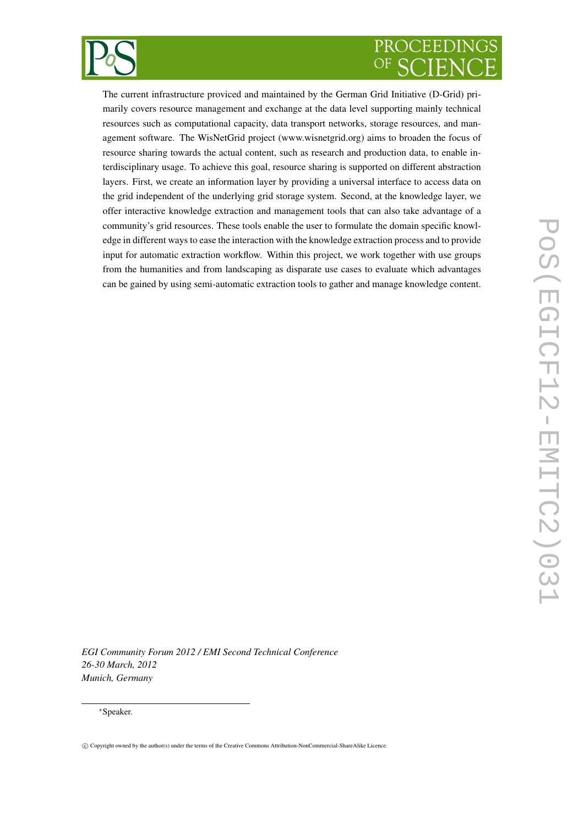

The current infrastructure proviced and maintained by the German Grid Initiative (D-Grid) primarily covers resource management and exchange at the data level supporting mainly technical resources such as computational capacity, data transport networks, storage resources, and management software. The WisNetGrid project (www.wisnetgrid.org) aims to broaden the focus of resource sharing towards the actual content, such as research and production data, to enable interdisciplinary usage. To achieve this goal, resource sharing is supported on different abstraction layers. First, we create an information layer by providing a universal interface to access data on the grid independent of the underlying grid storage system. Second, at the knowledge layer, we offer interactive knowledge extraction and management tools that can also take advantage of a community's grid resources. These tools enable the user to formulate the domain specific knowledge in different ways to ease the interaction with the knowledge extraction process and to provide input for automatic extraction workflow. Within this project, we work together with use groups from the humanities and from landscaping as disparate use cases to evaluate which advantages can be gained by using semi-automatic extraction tools to gather and manage knowledge content.

*EGI Community Forum 2012 / EMI Second Technical Conference 26-30 March, 2012 Munich, Germany*

#### <sup>∗</sup>Speaker.

c Copyright owned by the author(s) under the terms of the Creative Commons Attribution-NonCommercial-ShareAlike Licence.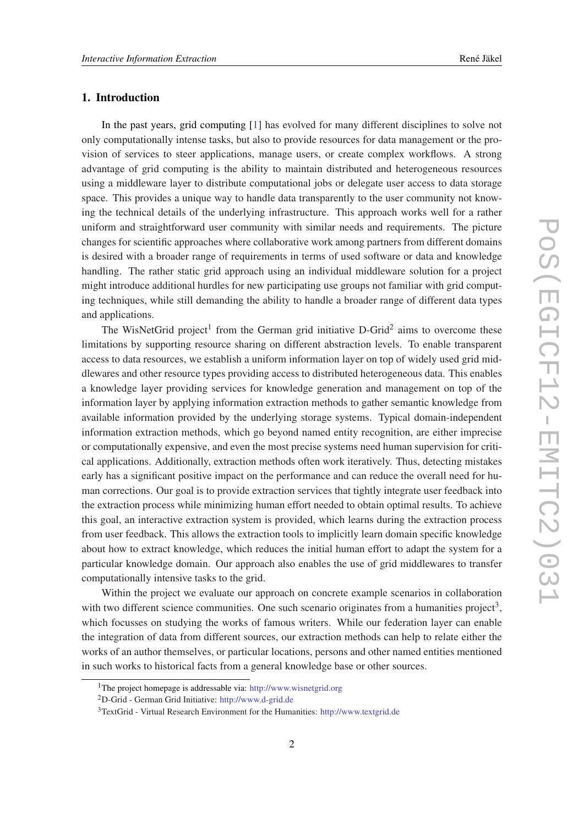## 1. Introduction

In the past years, grid computing [[1](#page-9-0)] has evolved for many different disciplines to solve not only computationally intense tasks, but also to provide resources for data management or the provision of services to steer applications, manage users, or create complex workflows. A strong advantage of grid computing is the ability to maintain distributed and heterogeneous resources using a middleware layer to distribute computational jobs or delegate user access to data storage space. This provides a unique way to handle data transparently to the user community not knowing the technical details of the underlying infrastructure. This approach works well for a rather uniform and straightforward user community with similar needs and requirements. The picture changes for scientific approaches where collaborative work among partners from different domains is desired with a broader range of requirements in terms of used software or data and knowledge handling. The rather static grid approach using an individual middleware solution for a project might introduce additional hurdles for new participating use groups not familiar with grid computing techniques, while still demanding the ability to handle a broader range of different data types and applications.

The WisNetGrid project<sup>1</sup> from the German grid initiative D-Grid<sup>2</sup> aims to overcome these limitations by supporting resource sharing on different abstraction levels. To enable transparent access to data resources, we establish a uniform information layer on top of widely used grid middlewares and other resource types providing access to distributed heterogeneous data. This enables a knowledge layer providing services for knowledge generation and management on top of the information layer by applying information extraction methods to gather semantic knowledge from available information provided by the underlying storage systems. Typical domain-independent information extraction methods, which go beyond named entity recognition, are either imprecise or computationally expensive, and even the most precise systems need human supervision for critical applications. Additionally, extraction methods often work iteratively. Thus, detecting mistakes early has a significant positive impact on the performance and can reduce the overall need for human corrections. Our goal is to provide extraction services that tightly integrate user feedback into the extraction process while minimizing human effort needed to obtain optimal results. To achieve this goal, an interactive extraction system is provided, which learns during the extraction process from user feedback. This allows the extraction tools to implicitly learn domain specific knowledge about how to extract knowledge, which reduces the initial human effort to adapt the system for a particular knowledge domain. Our approach also enables the use of grid middlewares to transfer computationally intensive tasks to the grid.

Within the project we evaluate our approach on concrete example scenarios in collaboration with two different science communities. One such scenario originates from a humanities project<sup>3</sup>, which focusses on studying the works of famous writers. While our federation layer can enable the integration of data from different sources, our extraction methods can help to relate either the works of an author themselves, or particular locations, persons and other named entities mentioned in such works to historical facts from a general knowledge base or other sources.

<sup>1</sup>The project homepage is addressable via: <http://www.wisnetgrid.org>

<sup>2</sup>D-Grid - German Grid Initiative: <http://www.d-grid.de>

<sup>3</sup>TextGrid - Virtual Research Environment for the Humanities: <http://www.textgrid.de>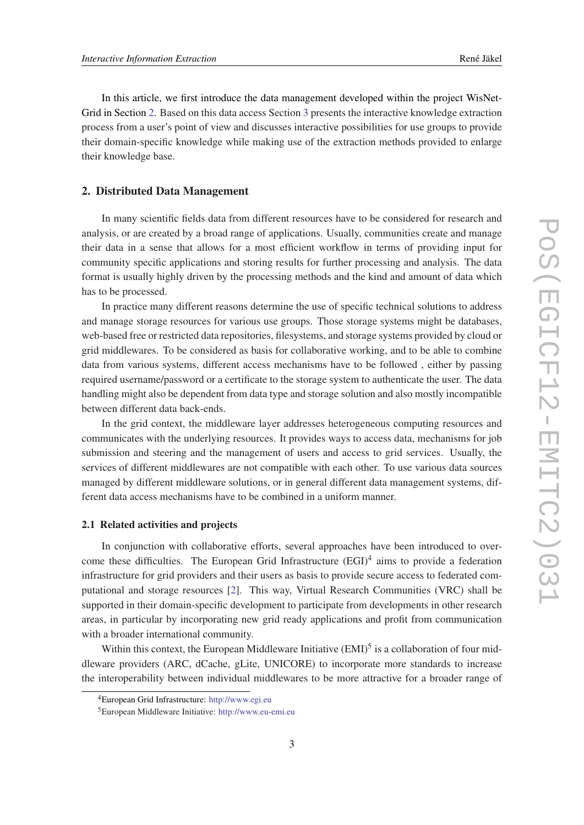In this article, we first introduce the data management developed within the project WisNet-Grid in Section 2. Based on this data access Section [3](#page-5-0) presents the interactive knowledge extraction process from a user's point of view and discusses interactive possibilities for use groups to provide their domain-specific knowledge while making use of the extraction methods provided to enlarge their knowledge base.

#### 2. Distributed Data Management

In many scientific fields data from different resources have to be considered for research and analysis, or are created by a broad range of applications. Usually, communities create and manage their data in a sense that allows for a most efficient workflow in terms of providing input for community specific applications and storing results for further processing and analysis. The data format is usually highly driven by the processing methods and the kind and amount of data which has to be processed.

In practice many different reasons determine the use of specific technical solutions to address and manage storage resources for various use groups. Those storage systems might be databases, web-based free or restricted data repositories, filesystems, and storage systems provided by cloud or grid middlewares. To be considered as basis for collaborative working, and to be able to combine data from various systems, different access mechanisms have to be followed , either by passing required username/password or a certificate to the storage system to authenticate the user. The data handling might also be dependent from data type and storage solution and also mostly incompatible between different data back-ends.

In the grid context, the middleware layer addresses heterogeneous computing resources and communicates with the underlying resources. It provides ways to access data, mechanisms for job submission and steering and the management of users and access to grid services. Usually, the services of different middlewares are not compatible with each other. To use various data sources managed by different middleware solutions, or in general different data management systems, different data access mechanisms have to be combined in a uniform manner.

#### 2.1 Related activities and projects

In conjunction with collaborative efforts, several approaches have been introduced to overcome these difficulties. The European Grid Infrastructure  $(EGI)^4$  aims to provide a federation infrastructure for grid providers and their users as basis to provide secure access to federated computational and storage resources [\[2\]](#page-9-0). This way, Virtual Research Communities (VRC) shall be supported in their domain-specific development to participate from developments in other research areas, in particular by incorporating new grid ready applications and profit from communication with a broader international community.

Within this context, the European Middleware Initiative  $(EMI)^5$  is a collaboration of four middleware providers (ARC, dCache, gLite, UNICORE) to incorporate more standards to increase the interoperability between individual middlewares to be more attractive for a broader range of

<sup>4</sup>European Grid Infrastructure: <http://www.egi.eu>

<sup>5</sup>European Middleware Initiative: <http://www.eu-emi.eu>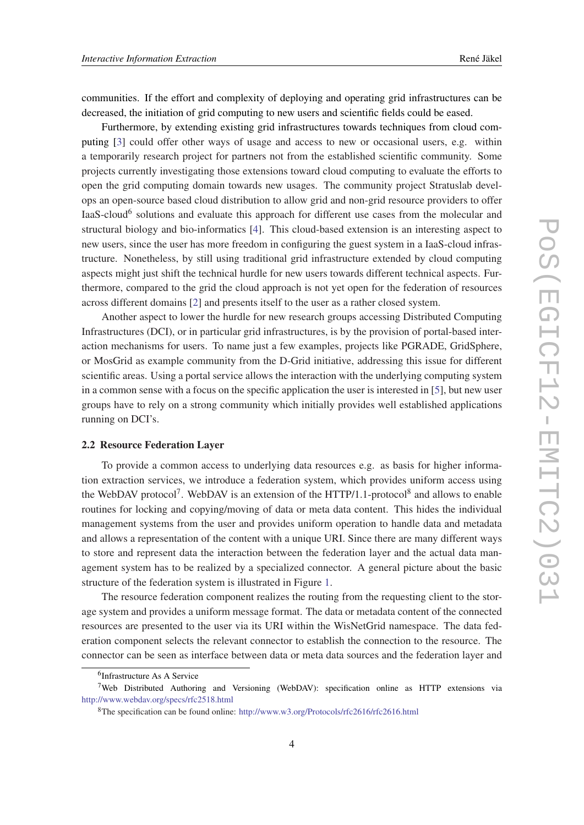communities. If the effort and complexity of deploying and operating grid infrastructures can be decreased, the initiation of grid computing to new users and scientific fields could be eased.

Furthermore, by extending existing grid infrastructures towards techniques from cloud computing [[3](#page-9-0)] could offer other ways of usage and access to new or occasional users, e.g. within a temporarily research project for partners not from the established scientific community. Some projects currently investigating those extensions toward cloud computing to evaluate the efforts to open the grid computing domain towards new usages. The community project Stratuslab develops an open-source based cloud distribution to allow grid and non-grid resource providers to offer IaaS-cloud<sup>6</sup> solutions and evaluate this approach for different use cases from the molecular and structural biology and bio-informatics [\[4](#page-9-0)]. This cloud-based extension is an interesting aspect to new users, since the user has more freedom in configuring the guest system in a IaaS-cloud infrastructure. Nonetheless, by still using traditional grid infrastructure extended by cloud computing aspects might just shift the technical hurdle for new users towards different technical aspects. Furthermore, compared to the grid the cloud approach is not yet open for the federation of resources across different domains [[2](#page-9-0)] and presents itself to the user as a rather closed system.

Another aspect to lower the hurdle for new research groups accessing Distributed Computing Infrastructures (DCI), or in particular grid infrastructures, is by the provision of portal-based interaction mechanisms for users. To name just a few examples, projects like PGRADE, GridSphere, or MosGrid as example community from the D-Grid initiative, addressing this issue for different scientific areas. Using a portal service allows the interaction with the underlying computing system in a common sense with a focus on the specific application the user is interested in [\[5\]](#page-9-0), but new user groups have to rely on a strong community which initially provides well established applications running on DCI's.

#### 2.2 Resource Federation Layer

To provide a common access to underlying data resources e.g. as basis for higher information extraction services, we introduce a federation system, which provides uniform access using the WebDAV protocol<sup>7</sup>. WebDAV is an extension of the HTTP/1.1-protocol<sup>8</sup> and allows to enable routines for locking and copying/moving of data or meta data content. This hides the individual management systems from the user and provides uniform operation to handle data and metadata and allows a representation of the content with a unique URI. Since there are many different ways to store and represent data the interaction between the federation layer and the actual data management system has to be realized by a specialized connector. A general picture about the basic structure of the federation system is illustrated in Figure [1](#page-5-0).

The resource federation component realizes the routing from the requesting client to the storage system and provides a uniform message format. The data or metadata content of the connected resources are presented to the user via its URI within the WisNetGrid namespace. The data federation component selects the relevant connector to establish the connection to the resource. The connector can be seen as interface between data or meta data sources and the federation layer and

<sup>6</sup> Infrastructure As A Service

<sup>7</sup>Web Distributed Authoring and Versioning (WebDAV): specification online as HTTP extensions via [http://www.webdav.org/specs/rfc2518.html](www.webdav.org/specs/rfc2518.html)

<sup>8</sup>The specification can be found online: <http://www.w3.org/Protocols/rfc2616/rfc2616.html>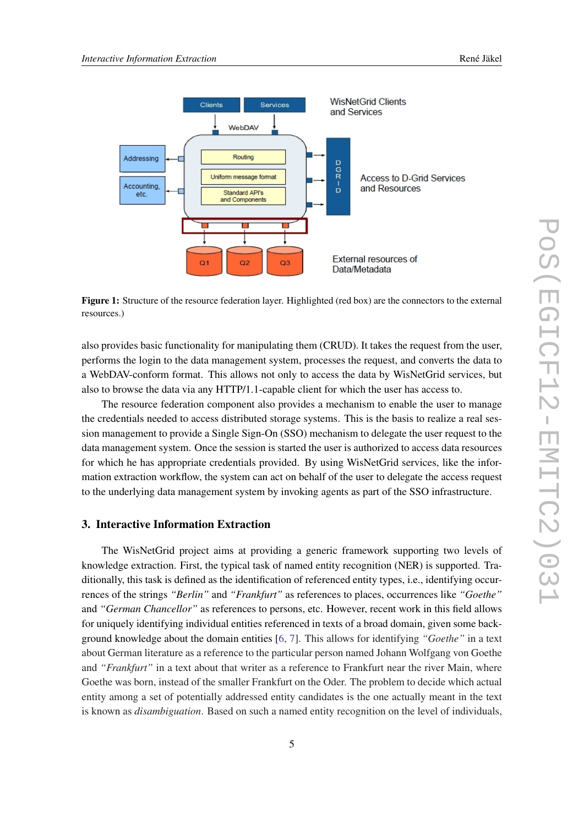<span id="page-5-0"></span>

Figure 1: Structure of the resource federation layer. Highlighted (red box) are the connectors to the external resources.)

also provides basic functionality for manipulating them (CRUD). It takes the request from the user, performs the login to the data management system, processes the request, and converts the data to a WebDAV-conform format. This allows not only to access the data by WisNetGrid services, but also to browse the data via any HTTP/1.1-capable client for which the user has access to.

The resource federation component also provides a mechanism to enable the user to manage the credentials needed to access distributed storage systems. This is the basis to realize a real session management to provide a Single Sign-On (SSO) mechanism to delegate the user request to the data management system. Once the session is started the user is authorized to access data resources for which he has appropriate credentials provided. By using WisNetGrid services, like the information extraction workflow, the system can act on behalf of the user to delegate the access request to the underlying data management system by invoking agents as part of the SSO infrastructure.

## 3. Interactive Information Extraction

The WisNetGrid project aims at providing a generic framework supporting two levels of knowledge extraction. First, the typical task of named entity recognition (NER) is supported. Traditionally, this task is defined as the identification of referenced entity types, i.e., identifying occurrences of the strings *"Berlin"* and *"Frankfurt"* as references to places, occurrences like *"Goethe"* and *"German Chancellor"* as references to persons, etc. However, recent work in this field allows for uniquely identifying individual entities referenced in texts of a broad domain, given some background knowledge about the domain entities [\[6,](#page-9-0) [7\]](#page-9-0). This allows for identifying *"Goethe"* in a text about German literature as a reference to the particular person named Johann Wolfgang von Goethe and *"Frankfurt"* in a text about that writer as a reference to Frankfurt near the river Main, where Goethe was born, instead of the smaller Frankfurt on the Oder. The problem to decide which actual entity among a set of potentially addressed entity candidates is the one actually meant in the text is known as *disambiguation*. Based on such a named entity recognition on the level of individuals,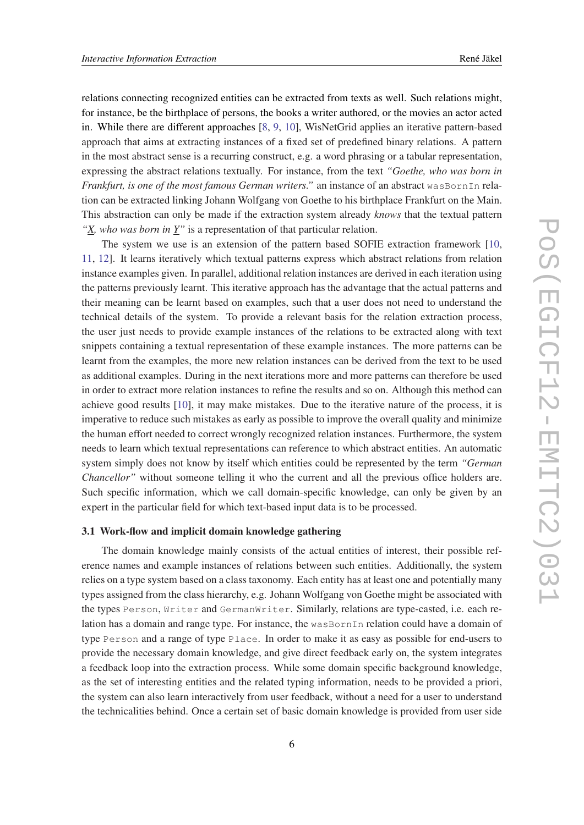relations connecting recognized entities can be extracted from texts as well. Such relations might, for instance, be the birthplace of persons, the books a writer authored, or the movies an actor acted in. While there are different approaches [\[8,](#page-9-0) [9](#page-9-0), [10](#page-9-0)], WisNetGrid applies an iterative pattern-based approach that aims at extracting instances of a fixed set of predefined binary relations. A pattern in the most abstract sense is a recurring construct, e.g. a word phrasing or a tabular representation, expressing the abstract relations textually. For instance, from the text *"Goethe, who was born in Frankfurt, is one of the most famous German writers."* an instance of an abstract wasBornIn relation can be extracted linking Johann Wolfgang von Goethe to his birthplace Frankfurt on the Main. This abstraction can only be made if the extraction system already *knows* that the textual pattern *"X, who was born in Y"* is a representation of that particular relation.

The system we use is an extension of the pattern based SOFIE extraction framework [\[10](#page-9-0), [11](#page-9-0), [12](#page-9-0)]. It learns iteratively which textual patterns express which abstract relations from relation instance examples given. In parallel, additional relation instances are derived in each iteration using the patterns previously learnt. This iterative approach has the advantage that the actual patterns and their meaning can be learnt based on examples, such that a user does not need to understand the technical details of the system. To provide a relevant basis for the relation extraction process, the user just needs to provide example instances of the relations to be extracted along with text snippets containing a textual representation of these example instances. The more patterns can be learnt from the examples, the more new relation instances can be derived from the text to be used as additional examples. During in the next iterations more and more patterns can therefore be used in order to extract more relation instances to refine the results and so on. Although this method can achieve good results [[10](#page-9-0)], it may make mistakes. Due to the iterative nature of the process, it is imperative to reduce such mistakes as early as possible to improve the overall quality and minimize the human effort needed to correct wrongly recognized relation instances. Furthermore, the system needs to learn which textual representations can reference to which abstract entities. An automatic system simply does not know by itself which entities could be represented by the term *"German Chancellor"* without someone telling it who the current and all the previous office holders are. Such specific information, which we call domain-specific knowledge, can only be given by an expert in the particular field for which text-based input data is to be processed.

#### 3.1 Work-flow and implicit domain knowledge gathering

The domain knowledge mainly consists of the actual entities of interest, their possible reference names and example instances of relations between such entities. Additionally, the system relies on a type system based on a class taxonomy. Each entity has at least one and potentially many types assigned from the class hierarchy, e.g. Johann Wolfgang von Goethe might be associated with the types Person, Writer and GermanWriter. Similarly, relations are type-casted, i.e. each relation has a domain and range type. For instance, the wasBornIn relation could have a domain of type Person and a range of type Place. In order to make it as easy as possible for end-users to provide the necessary domain knowledge, and give direct feedback early on, the system integrates a feedback loop into the extraction process. While some domain specific background knowledge, as the set of interesting entities and the related typing information, needs to be provided a priori, the system can also learn interactively from user feedback, without a need for a user to understand the technicalities behind. Once a certain set of basic domain knowledge is provided from user side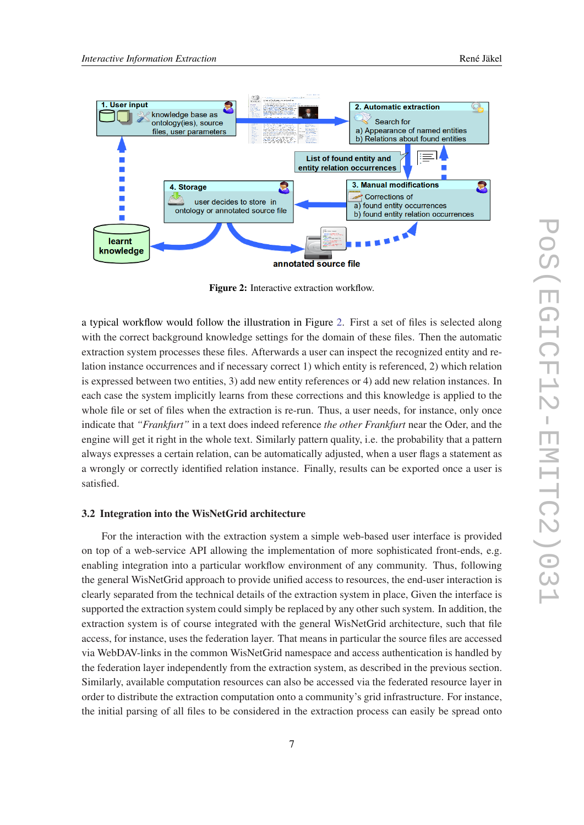

Figure 2: Interactive extraction workflow.

a typical workflow would follow the illustration in Figure 2. First a set of files is selected along with the correct background knowledge settings for the domain of these files. Then the automatic extraction system processes these files. Afterwards a user can inspect the recognized entity and relation instance occurrences and if necessary correct 1) which entity is referenced, 2) which relation is expressed between two entities, 3) add new entity references or 4) add new relation instances. In each case the system implicitly learns from these corrections and this knowledge is applied to the whole file or set of files when the extraction is re-run. Thus, a user needs, for instance, only once indicate that *"Frankfurt"* in a text does indeed reference *the other Frankfurt* near the Oder, and the engine will get it right in the whole text. Similarly pattern quality, i.e. the probability that a pattern always expresses a certain relation, can be automatically adjusted, when a user flags a statement as a wrongly or correctly identified relation instance. Finally, results can be exported once a user is satisfied.

#### 3.2 Integration into the WisNetGrid architecture

For the interaction with the extraction system a simple web-based user interface is provided on top of a web-service API allowing the implementation of more sophisticated front-ends, e.g. enabling integration into a particular workflow environment of any community. Thus, following the general WisNetGrid approach to provide unified access to resources, the end-user interaction is clearly separated from the technical details of the extraction system in place, Given the interface is supported the extraction system could simply be replaced by any other such system. In addition, the extraction system is of course integrated with the general WisNetGrid architecture, such that file access, for instance, uses the federation layer. That means in particular the source files are accessed via WebDAV-links in the common WisNetGrid namespace and access authentication is handled by the federation layer independently from the extraction system, as described in the previous section. Similarly, available computation resources can also be accessed via the federated resource layer in order to distribute the extraction computation onto a community's grid infrastructure. For instance, the initial parsing of all files to be considered in the extraction process can easily be spread onto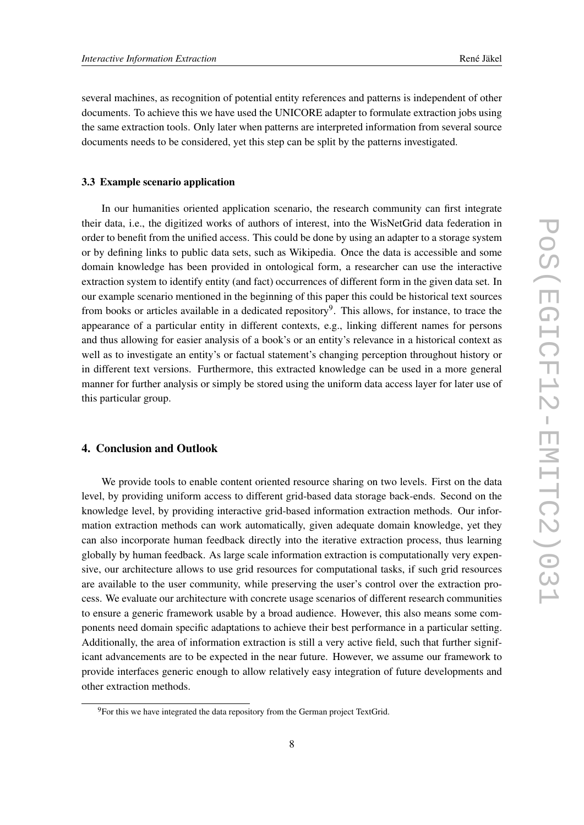several machines, as recognition of potential entity references and patterns is independent of other documents. To achieve this we have used the UNICORE adapter to formulate extraction jobs using the same extraction tools. Only later when patterns are interpreted information from several source documents needs to be considered, yet this step can be split by the patterns investigated.

#### 3.3 Example scenario application

In our humanities oriented application scenario, the research community can first integrate their data, i.e., the digitized works of authors of interest, into the WisNetGrid data federation in order to benefit from the unified access. This could be done by using an adapter to a storage system or by defining links to public data sets, such as Wikipedia. Once the data is accessible and some domain knowledge has been provided in ontological form, a researcher can use the interactive extraction system to identify entity (and fact) occurrences of different form in the given data set. In our example scenario mentioned in the beginning of this paper this could be historical text sources from books or articles available in a dedicated repository<sup>9</sup>. This allows, for instance, to trace the appearance of a particular entity in different contexts, e.g., linking different names for persons and thus allowing for easier analysis of a book's or an entity's relevance in a historical context as well as to investigate an entity's or factual statement's changing perception throughout history or in different text versions. Furthermore, this extracted knowledge can be used in a more general manner for further analysis or simply be stored using the uniform data access layer for later use of this particular group.

## 4. Conclusion and Outlook

We provide tools to enable content oriented resource sharing on two levels. First on the data level, by providing uniform access to different grid-based data storage back-ends. Second on the knowledge level, by providing interactive grid-based information extraction methods. Our information extraction methods can work automatically, given adequate domain knowledge, yet they can also incorporate human feedback directly into the iterative extraction process, thus learning globally by human feedback. As large scale information extraction is computationally very expensive, our architecture allows to use grid resources for computational tasks, if such grid resources are available to the user community, while preserving the user's control over the extraction process. We evaluate our architecture with concrete usage scenarios of different research communities to ensure a generic framework usable by a broad audience. However, this also means some components need domain specific adaptations to achieve their best performance in a particular setting. Additionally, the area of information extraction is still a very active field, such that further significant advancements are to be expected in the near future. However, we assume our framework to provide interfaces generic enough to allow relatively easy integration of future developments and other extraction methods.

<sup>&</sup>lt;sup>9</sup>For this we have integrated the data repository from the German project TextGrid.